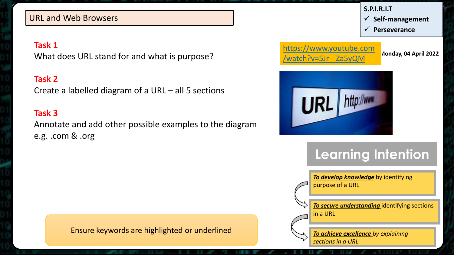#### URL and Web Browsers

#### **Task 1**

What does URL stand for and what is purpose?

#### **Task 2**

Create a labelled diagram of a URL – all 5 sections

#### **Task 3**

Annotate and add other possible examples to the diagram e.g. .com & .org



Ensure keywords are highlighted or underlined

*To secure understanding* identifying sections in a URL

*To achieve excellence by explaining sections in a URL*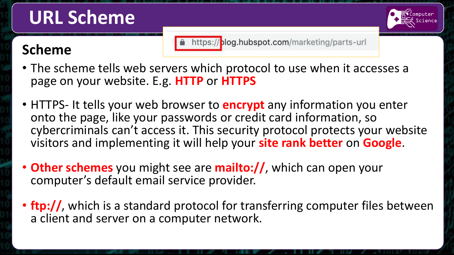## **URL Scheme**

### **Scheme**

https://blog.hubspot.com/marketing/parts-url

- The scheme tells web servers which protocol to use when it accesses a page on your website. E.g. **HTTP** or **HTTPS**
- HTTPS- It tells your web browser to **encrypt** any information you enter onto the page, like your passwords or credit card information, so cybercriminals can't access it. This security protocol protects your website visitors and implementing it will help your **site rank better** on **Google**.
- **Other schemes** you might see are **mailto://**, which can open your computer's default email service provider.
- **ftp://**, which is a standard protocol for transferring computer files between a client and server on a computer network.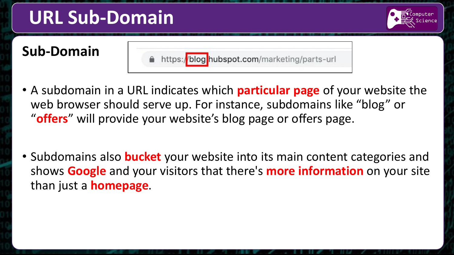## **URL Sub-Domain**



### **Sub-Domain**

https://blog hubspot.com/marketing/parts-url

- A subdomain in a URL indicates which **particular page** of your website the web browser should serve up. For instance, subdomains like "blog" or "**offers**" will provide your website's blog page or offers page.
- Subdomains also **bucket** your website into its main content categories and shows **Google** and your visitors that there's **more information** on your site than just a **homepage**.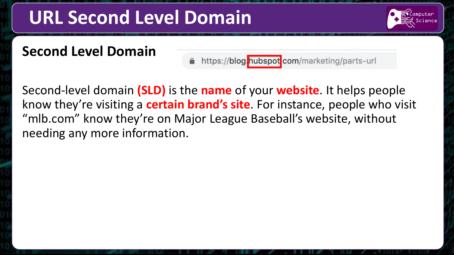## **URL Second Level Domain**

### **Second Level Domain**

https://blog.hubspotcom/marketing/parts-url

Second-level domain **(SLD)** is the **name** of your **website**. It helps people know they're visiting a **certain brand's site**. For instance, people who visit "mlb.com" know they're on Major League Baseball's website, without needing any more information.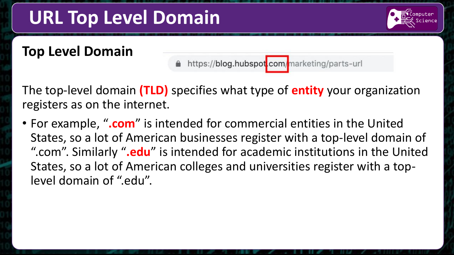## **URL Top Level Domain**

#### **Top Level Domain**

https://blog.hubspot.com/marketing/parts-url

The top-level domain **(TLD)** specifies what type of **entity** your organization registers as on the internet.

• For example, "**.com**" is intended for commercial entities in the United States, so a lot of American businesses register with a top-level domain of ".com". Similarly "**.edu**" is intended for academic institutions in the United States, so a lot of American colleges and universities register with a toplevel domain of ".edu".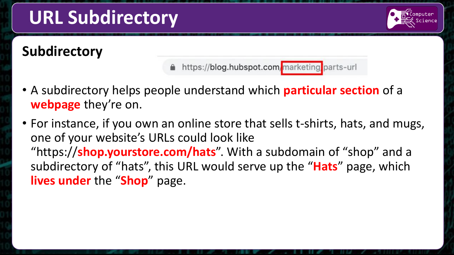# **URL Subdirectory**

### **Subdirectory**

https://blog.hubspot.com/marketing/parts-url

- A subdirectory helps people understand which **particular section** of a **webpage** they're on.
- For instance, if you own an online store that sells t-shirts, hats, and mugs, one of your website's URLs could look like "https://**shop.yourstore.com/hats**". With a subdomain of "shop" and a subdirectory of "hats", this URL would serve up the "**Hats**" page, which **lives under** the "**Shop**" page.